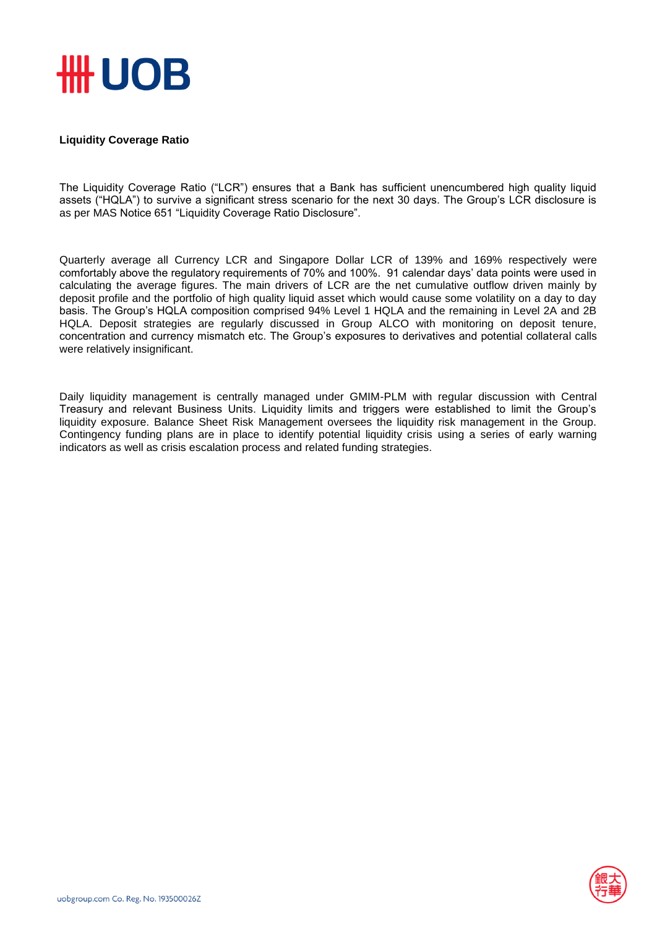

## **Liquidity Coverage Ratio**

The Liquidity Coverage Ratio ("LCR") ensures that a Bank has sufficient unencumbered high quality liquid assets ("HQLA") to survive a significant stress scenario for the next 30 days. The Group's LCR disclosure is as per MAS Notice 651 "Liquidity Coverage Ratio Disclosure".

Quarterly average all Currency LCR and Singapore Dollar LCR of 139% and 169% respectively were comfortably above the regulatory requirements of 70% and 100%. 91 calendar days' data points were used in calculating the average figures. The main drivers of LCR are the net cumulative outflow driven mainly by deposit profile and the portfolio of high quality liquid asset which would cause some volatility on a day to day basis. The Group's HQLA composition comprised 94% Level 1 HQLA and the remaining in Level 2A and 2B HQLA. Deposit strategies are regularly discussed in Group ALCO with monitoring on deposit tenure, concentration and currency mismatch etc. The Group's exposures to derivatives and potential collateral calls were relatively insignificant.

Daily liquidity management is centrally managed under GMIM-PLM with regular discussion with Central Treasury and relevant Business Units. Liquidity limits and triggers were established to limit the Group's liquidity exposure. Balance Sheet Risk Management oversees the liquidity risk management in the Group. Contingency funding plans are in place to identify potential liquidity crisis using a series of early warning indicators as well as crisis escalation process and related funding strategies.

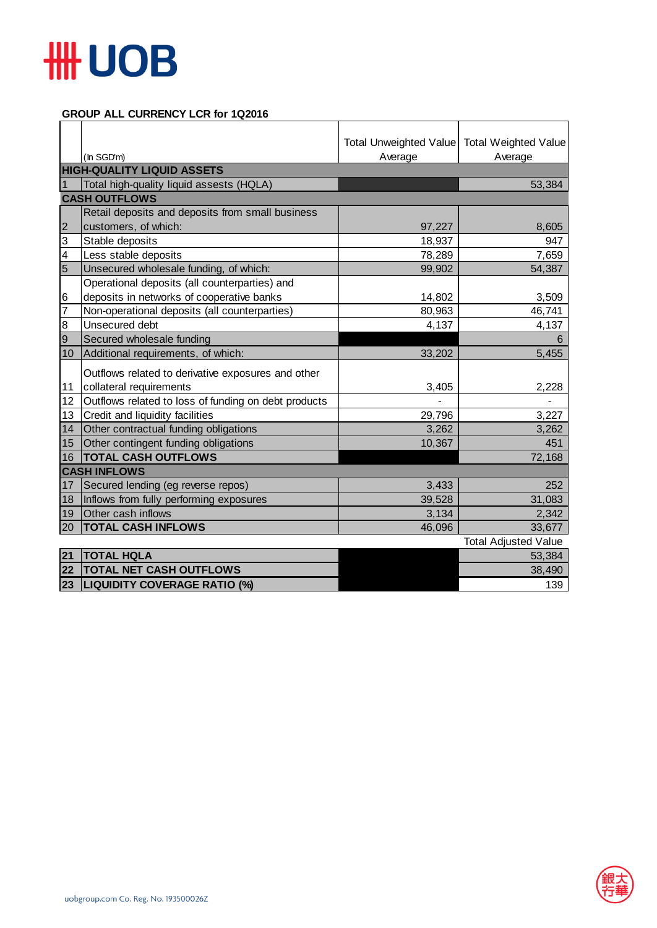

## **GROUP ALL CURRENCY LCR for 1Q2016**

|                         |                                                      | Total Unweighted Value Total Weighted Value |                             |  |  |
|-------------------------|------------------------------------------------------|---------------------------------------------|-----------------------------|--|--|
|                         | (In SGD'm)                                           | Average                                     | Average                     |  |  |
|                         | <b>HIGH-QUALITY LIQUID ASSETS</b>                    |                                             |                             |  |  |
|                         | Total high-quality liquid assests (HQLA)             |                                             | 53,384                      |  |  |
|                         | <b>CASH OUTFLOWS</b>                                 |                                             |                             |  |  |
|                         | Retail deposits and deposits from small business     |                                             |                             |  |  |
| $\overline{2}$          | customers, of which:                                 | 97,227                                      | 8,605                       |  |  |
| 3                       | Stable deposits                                      | 18,937                                      | 947                         |  |  |
| $\overline{\mathbf{4}}$ | Less stable deposits                                 | 78,289                                      | 7,659                       |  |  |
| $\overline{5}$          | Unsecured wholesale funding, of which:               | 99,902                                      | 54,387                      |  |  |
|                         | Operational deposits (all counterparties) and        |                                             |                             |  |  |
| 6                       | deposits in networks of cooperative banks            | 14,802                                      | 3,509                       |  |  |
| 7                       | Non-operational deposits (all counterparties)        | 80,963                                      | 46,741                      |  |  |
| 8                       | Unsecured debt                                       | 4,137                                       | 4,137                       |  |  |
| $\overline{9}$          | Secured wholesale funding                            |                                             | 6                           |  |  |
| 10                      | Additional requirements, of which:                   | 33,202                                      | 5,455                       |  |  |
|                         | Outflows related to derivative exposures and other   |                                             |                             |  |  |
| 11                      | collateral requirements                              | 3,405                                       | 2,228                       |  |  |
| 12                      | Outflows related to loss of funding on debt products |                                             |                             |  |  |
| 13                      | Credit and liquidity facilities                      | 29,796                                      | 3,227                       |  |  |
| 14                      | Other contractual funding obligations                | 3,262                                       | 3,262                       |  |  |
| 15 <sub>2</sub>         | Other contingent funding obligations                 | 10,367                                      | 451                         |  |  |
| 16                      | <b>TOTAL CASH OUTFLOWS</b>                           |                                             | 72,168                      |  |  |
|                         | <b>CASH INFLOWS</b>                                  |                                             |                             |  |  |
| 17                      | Secured lending (eg reverse repos)                   | 3,433                                       | 252                         |  |  |
| 18                      | Inflows from fully performing exposures              | 39,528                                      | 31,083                      |  |  |
| 19                      | Other cash inflows                                   | 3,134                                       | 2,342                       |  |  |
| 20                      | <b>TOTAL CASH INFLOWS</b>                            | 46,096                                      | 33,677                      |  |  |
|                         |                                                      |                                             | <b>Total Adjusted Value</b> |  |  |
| 21                      | <b>TOTAL HQLA</b>                                    |                                             | 53,384                      |  |  |
| 22                      | <b>TOTAL NET CASH OUTFLOWS</b>                       |                                             | 38,490                      |  |  |
| 23                      | <b>LIQUIDITY COVERAGE RATIO (%)</b>                  |                                             | 139                         |  |  |